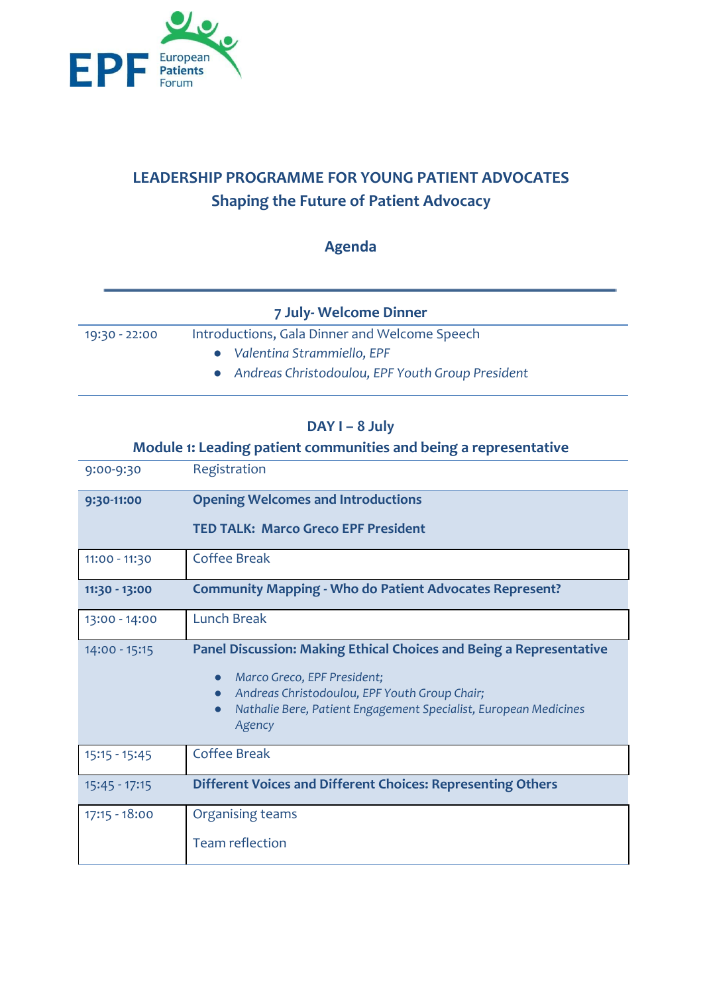

# **LEADERSHIP PROGRAMME FOR YOUNG PATIENT ADVOCATES Shaping the Future of Patient Advocacy**

# **Agenda**

|               | 7 July- Welcome Dinner                             |  |
|---------------|----------------------------------------------------|--|
| 19:30 - 22:00 | Introductions, Gala Dinner and Welcome Speech      |  |
|               | • Valentina Strammiello, EPF                       |  |
|               | • Andreas Christodoulou, EPF Youth Group President |  |

#### **DAY I – 8 July**

# **Module 1: Leading patient communities and being a representative**

| 9:00-9:30       | Registration                                                                                              |
|-----------------|-----------------------------------------------------------------------------------------------------------|
| 9:30-11:00      | <b>Opening Welcomes and Introductions</b>                                                                 |
|                 | <b>TED TALK: Marco Greco EPF President</b>                                                                |
| 11:00 - 11:30   | Coffee Break                                                                                              |
| 11:30 - 13:00   | <b>Community Mapping - Who do Patient Advocates Represent?</b>                                            |
| 13:00 - 14:00   | <b>Lunch Break</b>                                                                                        |
| 14:00 - 15:15   | <b>Panel Discussion: Making Ethical Choices and Being a Representative</b><br>Marco Greco, EPF President; |
|                 | Andreas Christodoulou, EPF Youth Group Chair;                                                             |
|                 | Nathalie Bere, Patient Engagement Specialist, European Medicines<br>Agency                                |
| $15:15 - 15:45$ | <b>Coffee Break</b>                                                                                       |
| $15:45 - 17:15$ | Different Voices and Different Choices: Representing Others                                               |
| $17:15 - 18:00$ | Organising teams                                                                                          |
|                 | <b>Team reflection</b>                                                                                    |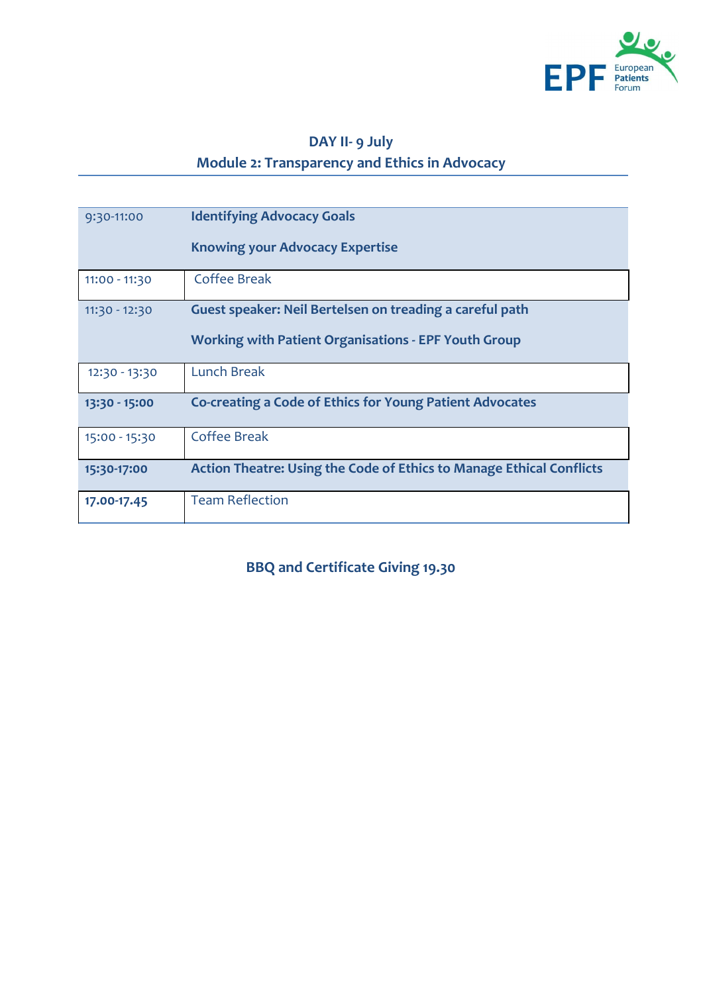

# **DAY II- 9 July Module 2: Transparency and Ethics in Advocacy**

| 9:30-11:00      | <b>Identifying Advocacy Goals</b><br><b>Knowing your Advocacy Expertise</b>                                             |
|-----------------|-------------------------------------------------------------------------------------------------------------------------|
| 11:00 - 11:30   | <b>Coffee Break</b>                                                                                                     |
| $11:30 - 12:30$ | Guest speaker: Neil Bertelsen on treading a careful path<br><b>Working with Patient Organisations - EPF Youth Group</b> |
| 12:30 - 13:30   | Lunch Break                                                                                                             |
| 13:30 - 15:00   | <b>Co-creating a Code of Ethics for Young Patient Advocates</b>                                                         |
| 15:00 - 15:30   | Coffee Break                                                                                                            |
| 15:30-17:00     | <b>Action Theatre: Using the Code of Ethics to Manage Ethical Conflicts</b>                                             |
| 17.00-17.45     | <b>Team Reflection</b>                                                                                                  |

**BBQ and Certificate Giving 19.30**